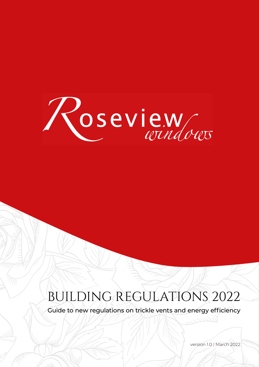

### BUILDING REGULATIONS 2022

Guide to new regulations on trickle vents and energy efficiency

version 1.0 | March 2022

 $\mathcal{A}$   $\vee$   $\mathcal{B}$   $\mathcal{B}$   $\mathcal{B}$   $\mathcal{B}$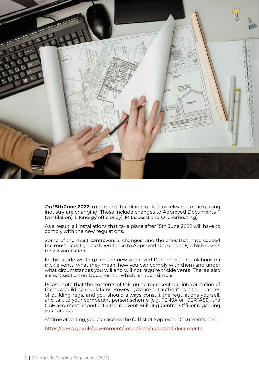

On **15th June 2022** a number of building regulations relevant to the glazing industry are changing. These include changes to Approved Documents F (ventilation), L (energy efficiency), M (access) and O (overheating).

As a result, all installations that take place after 15th June 2022 will have to comply with the new regulations.

Some of the most controversial changes, and the ones that have caused the most debate, have been those to Approved Document F, which covers trickle ventilation.

In this guide we'll explain the new Approved Document F regulations on trickle vents, what they mean, how you can comply with them and under what circumstances you will and will not require trickle vents. There's also a short section on Document L, which is much simpler!

Please note that the contents of this guide represent our interpretation of the new building regulations. However, we are not authorities in the nuances of building regs, and you should always consult the regulations yourself, and talk to your competent person scheme (e.g. FENSA or CERTASS), the GGF and most importantly the relevent Building Control Officer regarding your project.

At time of writing, you can access the full list of Approved Documents here...

https://www.gov.uk/government/collections/approved-documents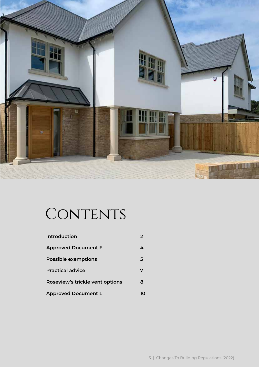

### CONTENTS

| <b>Introduction</b>             |    |
|---------------------------------|----|
| <b>Approved Document F</b>      | 4  |
| <b>Possible exemptions</b>      | 5  |
| <b>Practical advice</b>         | 7  |
| Roseview's trickle vent options |    |
| <b>Approved Document L</b>      | 10 |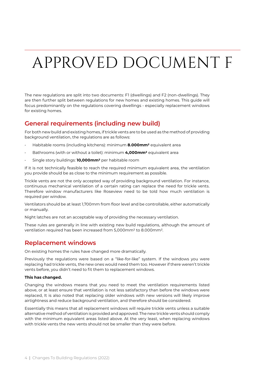## APPROVED DOCUMENT F

The new regulations are split into two documents: F1 (dwellings) and F2 (non-dwellings). They are then further split between regulations for new homes and existing homes. This guide will focus predominantly on the regulations covering dwellings - especially replacement windows for existing homes.

### **General requirements (including new build)**

For both new build and existing homes, if trickle vents are to be used as the method of providing background ventilation, the regulations are as follows:

- Habitable rooms (including kitchens): minimum **8.000mm2** equivalent area
- Bathrooms (with or without a toilet): minimum **4,000mm2** equivalent area
- Single story buildings: **10,000mm2** per habitable room

If it is not technically feasible to reach the required minimum equivalent area, the ventilation you provide should be as close to the minimum requirement as possible.

Trickle vents are not the only accepted way of providing background ventilation. For instance, continuous mechanical ventilation of a certain rating can replace the need for trickle vents. Therefore window manufacturers like Roseview need to be told how much ventilation is required per window.

Ventilators should be at least 1,700mm from floor level and be controllable, either automatically or manually.

Night latches are not an acceptable way of providing the necessary ventilation.

These rules are generally in line with existing new build regulations, although the amount of ventilation required has been increased from 5,000mm2 to 8.000mm2.

#### **Replacement windows**

On existing homes the rules have changed more dramatically.

Previously the regulations were based on a "like-for-like" system. If the windows you were replacing had trickle vents, the new ones would need them too. However if there weren't trickle vents before, you didn't need to fit them to replacement windows.

#### **This has changed.**

Changing the windows means that you need to meet the ventilation requirements listed above, or at least ensure that ventilation is not less satisfactory than before the windows were replaced, It is also noted that replacing older windows with new versions will likely improve airtightness and reduce background ventilation, and therefore should be considered.

Essentially this means that all replacement windows will require trickle vents unless a suitable alternative method of ventilation is provided and approved. The new trickle vents should comply with the minimum equivalent areas listed above. At the very least, when replacing windows with trickle vents the new vents should not be smaller than they were before.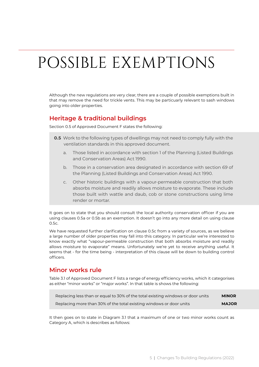## POSSIBLE EXEMPTIONS

Although the new regulations are very clear, there are a couple of possible exemptions built in that may remove the need for trickle vents. This may be particuarly relevant to sash windows going into older properties.

#### **Heritage & traditional buildings**

Section 0.5 of Approved Document F states the following:

- **0.5** Work to the following types of dwellings may not need to comply fully with the ventilation standards in this approved document.
	- a. Those listed in accordance with section 1 of the Planning (Listed Buildings and Conservation Areas) Act 1990.
	- b. Those in a conservation area designated in accordance with section *69* of the Planning (Listed Buildings and Conservation Areas) Act 1990.
	- c. Other historic buildings with a vapour-permeable construction that both absorbs moisture and readily allows moisture to evaporate. These include those built with wattle and daub, cob or stone constructions using lime render or mortar.

It goes on to state that you should consult the local authority conservation officer if you are using clauses 0.5a or 0.5b as an exemption. It doesn't go into any more detail on using clause 0.5c.

We have requested further clarification on clause 0.5c from a variety of sources, as we believe a large number of older properties may fall into this category. In particular we're interested to know exactly what "vapour-permeable construction that both absorbs moisture and readily allows moisture to evaporate" means. Unfortunately we're yet to receive anything useful. It seems that - for the time being - interpretation of this clause will be down to building control officers.

### **Minor works rule**

Table 3.1 of Approved Document F lists a range of energy efficiency works, which it categorises as either "minor works" or "major works". In that table is shows the following:

| Replacing less than or equal to 30% of the total existing windows or door units | <b>MINOR</b> |
|---------------------------------------------------------------------------------|--------------|
| Replacing more than 30% of the total existing windows or door units             | <b>MAJOR</b> |

It then goes on to state in Diagram 3.1 that a maximum of one or two minor works count as Category A, which is describes as follows: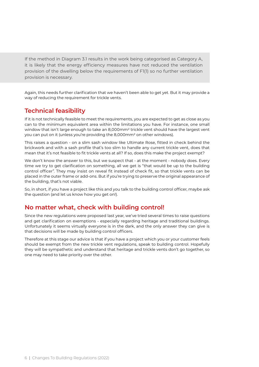If the method in Diagram 3.1 results in the work being categorised as Category A, it is likely that the energy efficiency measures have not reduced the ventilation provision of the dwelling below the requirements of F1(1) so no further ventilation provision is necessary.

Again, this needs further clarification that we haven't been able to get yet. But it may provide a way of reducing the requirement for trickle vents.

### **Technical feasibility**

If it is not technically feasible to meet the requirements, you are expected to get as close as you can to the minimum equivalent area within the limitations you have. For instance, one small window that isn't large enough to take an 8,000mm2 trickle vent should have the largest vent you can put on it (unless you're providing the 8,000mm2 on other windows).

This raises a question - on a slim sash window like Ultimate Rose, fitted in check behind the brickwork and with a sash profile that's too slim to handle any current trickle vent, does that mean that it's not feasible to fit trickle vents at all? If so, does this make the project exempt?

We don't know the answer to this, but we suspect that - at the moment - nobody does. Every time we try to get clarification on something, all we get is "that would be up to the building control officer". They may insist on reveal fit instead of check fit, so that trickle vents can be placed in the outer frame or add-ons. But if you're trying to preserve the original appearance of the building, that's not viable.

So, in short, if you have a project like this and you talk to the building control officer, maybe ask the question (and let us know how you get on!).

### **No matter what, check with building control!**

Since the new regulations were proposed last year, we've tried several times to raise questions and get clarification on exemptions - especially regarding heritage and traditional buildings. Unfortunately it seems virtually everyone is in the dark, and the only answer they can give is that decisions will be made by building control officers.

Therefore at this stage our advice is that if you have a project which you or your customer feels should be exempt from the new trickle vent regulations, speak to building control. Hopefully they will be sympathetic and understand that heritage and trickle vents don't go together, so one may need to take priority over the other.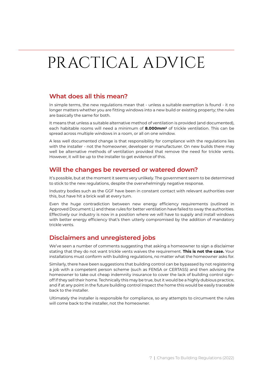## PRACTICAL ADVICE

#### **What does all this mean?**

In simple terms, the new regulations mean that - unless a suitable exemption is found - it no longer matters whether you are fitting windows into a new build or existing property; the rules are basically the same for both.

It means that unless a suitable alternative method of ventilation is provided (and documented), each habitable rooms will need a minimum of **8.000mm2** of trickle ventilation. This can be spread across multiple windows in a room, or all on one window.

A less well documented change is that responsibility for compliance with the regulations lies with the installer - not the homeowner, developer or manufacturer. On new builds there may well be alternative methods of ventilation provided that remove the need for trickle vents. However, it will be up to the installer to get evidence of this.

#### **Will the changes be reversed or watered down?**

It's possible, but at the moment it seems very unlikely. The government seem to be determined to stick to the new regulations, despite the overwhelmingly negative response.

Industry bodies such as the GGF have been in constant contact with relevant authorities over this, but have hit a brick wall at every turn.

Even the huge contradiction between new energy efficiency requirements (outlined in Approved Document L) and these rules for better ventilation have failed to sway the authorities. Effectively our industry is now in a position where we will have to supply and install windows with better energy efficiency that's then utterly compromised by the addition of mandatory trickle vents.

### **Disclaimers and unregistered jobs**

We've seen a number of comments suggesting that asking a homeowner to sign a disclaimer stating that they do not want trickle vents waives the requirement. **This is not the case.** Your installations must conform with building regulations, no matter what the homeowner asks for.

Similarly, there have been suggestions that building control can be bypassed by not registering a job with a competent person scheme (such as FENSA or CERTASS) and then advising the homeowner to take out cheap indemnity insurance to cover the lack of building control signoff if they sell their home. Technically this may be true, but it would be a highly dubious practice, and if at any point in the future building control inspect the home this would be easily traceable back to the installer.

Ultimately the installer is responsible for compliance, so any attempts to circumvent the rules will come back to the installer, not the homeowner.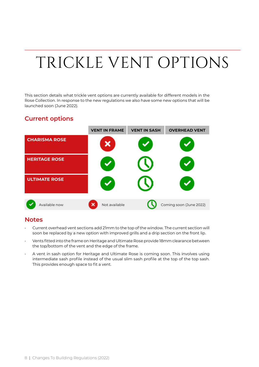# TRICKLE VENT OPTIONS

This section details what trickle vent options are currently available for different models in the Rose Collection. In response to the new regulations we also have some new options that will be launched soon (June 2022).

#### **Current options**



#### **Notes**

- Current overhead vent sections add 21mm to the top of the window. The current section will soon be replaced by a new option with improved grills and a drip section on the front lip.
- Vents fitted into the frame on Heritage and Ultimate Rose provide 18mm clearance between the top/bottom of the vent and the edge of the frame.
- A vent in sash option for Heritage and Ultimate Rose is coming soon. This involves using intermediate sash profile instead of the usual slim sash profile at the top of the top sash. This provides enough space to fit a vent.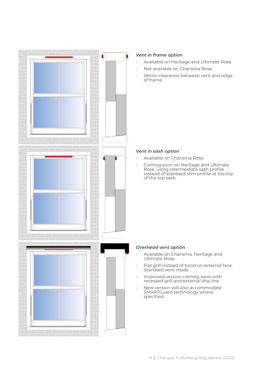

#### *Vent in frame option*

- Available on Heritage and Ultimate Rose.
- Not available on Charisma Rose.
- 18mm clearance between vent and edge of frame.

#### *Vent in sash option*

- Available on Charisma Rose.
- Coming soon on Heritage and Ultimate Rose, using intermediate sash profile instead of standard slim profile at the top of the top sash.

#### *Overhead vent option*

- Available on Charisma, Heritage and Ultimate Rose.
- Flat grill instead of hood on external face. Standard vent inside.
- Improved version coming soon with recessed grill and external drip line.
- New version will also accommodate SMARTGuard technology where specified.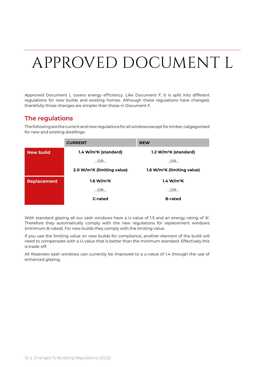## APPROVED DOCUMENT L

Approved Document L covers energy efficiency. Like Document F, it is split into different regulations for new builds and existing homes. Although these regulations have changed, thankfully those changes are simpler than those in Document F.

#### **The regulations**

The following are the current and new regulations for all windows except for timber, catgegorised for new and existing dwellings:

|                    | <b>CURRENT</b>                          | <b>NEW</b>                              |
|--------------------|-----------------------------------------|-----------------------------------------|
| <b>New build</b>   | 1.4 W/m <sup>2</sup> K (standard)       | 1.2 W/m <sup>2</sup> K (standard)       |
|                    | $\ldots$ OR $\ldots$                    | $\Box$ OR $\Box$                        |
|                    | 2.0 W/m <sup>2</sup> K (limiting value) | 1.6 W/m <sup>2</sup> K (limiting value) |
| <b>Replacement</b> | 1.6 W/m <sup>2</sup> K                  | 1.4 W/m <sup>2</sup> K                  |
|                    | OR                                      | OR                                      |
|                    | C-rated                                 | <b>B-rated</b>                          |

With standard glazing all our sash windows have a U-value of 1.5 and an energy rating of 'A'. Therefore they automatically comply with the new regulations for replacement windows (minimum B-rated). For new builds they comply with the limiting value.

If you use the limiting value on new builds for compliance, another element of the build will need to compensate with a U-value that is better than the minimum standard. Effectively this is trade-off.

All Roseview sash windows can currently be improved to a u-value of 1.4 through the use of enhanced glazing.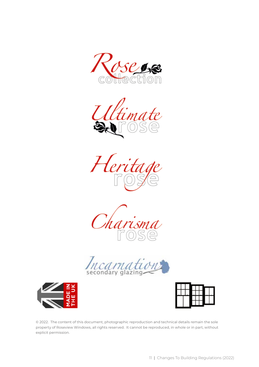













© 2022. The content of this document, photographic reproduction and technical details remain the sole property of Roseview Windows, all rights reserved. It cannot be reproduced, in whole or in part, without explicit permission.